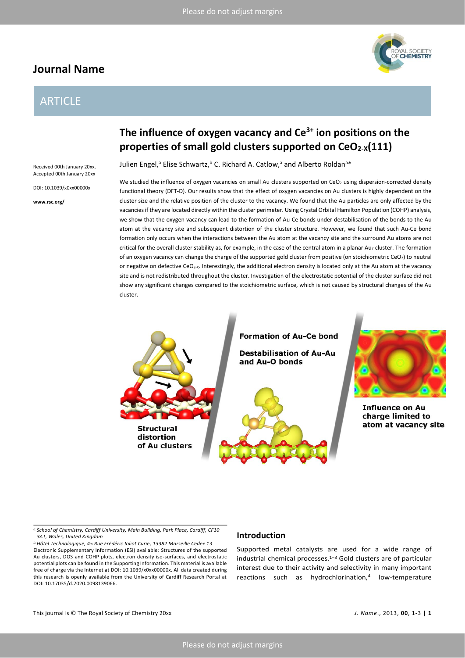# **Journal Name**

# ARTICLE

Received 00th January 20xx, Accepted 00th January 20xx

DOI: 10.1039/x0xx00000x

**www.rsc.org/**

# **The influence of oxygen vacancy and Ce3+ ion positions on the properties of small gold clusters supported on CeO2-X(111)**

Julien Engel,<sup>a</sup> Elise Schwartz,<sup>b</sup> C. Richard A. Catlow,<sup>a</sup> and Alberto Roldan<sup>a</sup>\*

We studied the influence of oxygen vacancies on small Au clusters supported on CeO<sub>2</sub> using dispersion-corrected density functional theory (DFT-D). Our results show that the effect of oxygen vacancies on Au clusters is highly dependent on the cluster size and the relative position of the cluster to the vacancy. We found that the Au particles are only affected by the vacancies if they are located directly within the cluster perimeter. Using Crystal Orbital Hamilton Population (COHP) analysis, we show that the oxygen vacancy can lead to the formation of Au-Ce bonds under destabilisation of the bonds to the Au atom at the vacancy site and subsequent distortion of the cluster structure. However, we found that such Au-Ce bond formation only occurs when the interactions between the Au atom at the vacancy site and the surround Au atoms are not critical for the overall cluster stability as, for example, in the case of the central atom in a planar Au<sub>7</sub> cluster. The formation of an oxygen vacancy can change the charge of the supported gold cluster from positive (on stoichiometric CeO<sub>2</sub>) to neutral or negative on defective CeO<sub>2-X</sub>. Interestingly, the additional electron density is located only at the Au atom at the vacancy site and is not redistributed throughout the cluster. Investigation of the electrostatic potential of the cluster surface did not show any significant changes compared to the stoichiometric surface, which is not caused by structural changes of the Au cluster.



*a.School of Chemistry, Cardiff University, Main Building, Park Place, Cardiff, CF10 3AT, Wales, United Kingdom*

*b.Hôtel Technologique, 45 Rue Frédéric Joliot Curie, 13382 Marseille Cedex 13* Electronic Supplementary Information (ESI) available: Structures of the supported Au clusters, DOS and COHP plots, electron density iso-surfaces, and electrostatic potential plots can be found in the Supporting Information. This material is available free of charge via the Internet at DOI: 10.1039/x0xx00000x. All data created during this research is openly available from the University of Cardiff Research Portal at DOI: 10.17035/d.2020.0098139066.

# **Introduction**

Supported metal catalysts are used for a wide range of industrial chemical processes. <sup>1</sup>–<sup>3</sup> Gold clusters are of particular interest due to their activity and selectivity in many important reactions such as hydrochlorination,<sup>4</sup> low-temperature

L SOCIET)<br>**Hemistry**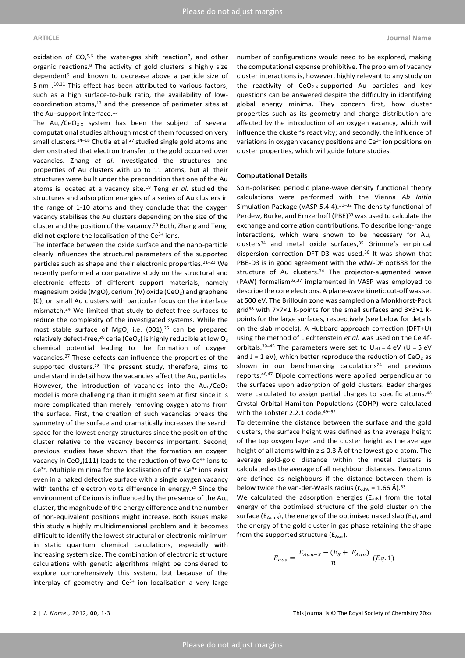oxidation of CO,<sup>5,6</sup> the water-gas shift reaction<sup>7</sup>, and other organic reactions. <sup>8</sup> The activity of gold clusters is highly size dependent<sup>9</sup> and known to decrease above a particle size of 5 nm .10,11 This effect has been attributed to various factors, such as a high surface-to-bulk ratio, the availability of lowcoordination atoms,<sup>12</sup> and the presence of perimeter sites at the Au−support interface.<sup>13</sup>

The  $Au_n/CeO_{2-x}$  system has been the subject of several computational studies although most of them focussed on very small clusters. $14-18$  Chutia et al.<sup>27</sup> studied single gold atoms and demonstrated that electron transfer to the gold occurred over vacancies. Zhang *et al.* investigated the structures and properties of Au clusters with up to 11 atoms, but all their structures were built under the precondition that one of the Au atoms is located at a vacancy site.<sup>19</sup> Teng *et al.* studied the structures and adsorption energies of a series of Au clusters in the range of 1-10 atoms and they conclude that the oxygen vacancy stabilises the Au clusters depending on the size of the cluster and the position of the vacancy.<sup>20</sup> Both, Zhang and Teng, did not explore the localisation of the  $Ce^{3+}$  ions.

The interface between the oxide surface and the nano-particle clearly influences the structural parameters of the supported particles such as shape and their electronic properties.<sup>21-23</sup> We recently performed a comparative study on the structural and electronic effects of different support materials, namely magnesium oxide (MgO), cerium (IV) oxide (CeO<sub>2</sub>) and graphene (C), on small Au clusters with particular focus on the interface mismatch. <sup>24</sup> We limited that study to defect-free surfaces to reduce the complexity of the investigated systems. While the most stable surface of MgO, i.e. (001),<sup>25</sup> can be prepared relatively defect-free, $^{26}$  ceria (CeO<sub>2</sub>) is highly reducible at low O<sub>2</sub> chemical potential leading to the formation of oxygen vacancies.<sup>27</sup> These defects can influence the properties of the supported clusters.<sup>28</sup> The present study, therefore, aims to understand in detail how the vacancies affect the  $Au_n$  particles. However, the introduction of vacancies into the  $Au_n/CeO_2$ model is more challenging than it might seem at first since it is more complicated than merely removing oxygen atoms from the surface. First, the creation of such vacancies breaks the symmetry of the surface and dramatically increases the search space for the lowest energy structures since the position of the cluster relative to the vacancy becomes important. Second, previous studies have shown that the formation an oxygen vacancy in CeO<sub>2</sub>(111) leads to the reduction of two Ce<sup>4+</sup> ions to  $Ce<sup>3+</sup>$ . Multiple minima for the localisation of the  $Ce<sup>3+</sup>$  ions exist even in a naked defective surface with a single oxygen vacancy with tenths of electron volts difference in energy. <sup>29</sup> Since the environment of Ce ions is influenced by the presence of the Au<sub>n</sub> cluster, the magnitude of the energy difference and the number of non-equivalent positions might increase. Both issues make this study a highly multidimensional problem and it becomes difficult to identify the lowest structural or electronic minimum in static quantum chemical calculations, especially with increasing system size. The combination of electronic structure calculations with genetic algorithms might be considered to explore comprehensively this system, but because of the interplay of geometry and  $Ce<sup>3+</sup>$  ion localisation a very large

number of configurations would need to be explored, making the computational expense prohibitive. The problem of vacancy cluster interactions is, however, highly relevant to any study on the reactivity of  $CeO<sub>2-X</sub>$ -supported Au particles and key questions can be answered despite the difficulty in identifying global energy minima. They concern first, how cluster properties such as its geometry and charge distribution are affected by the introduction of an oxygen vacancy, which will influence the cluster's reactivity; and secondly, the influence of variations in oxygen vacancy positions and Ce<sup>3+</sup> ion positions on cluster properties, which will guide future studies.

#### **Computational Details**

Spin-polarised periodic plane-wave density functional theory calculations were performed with the Vienna *Ab Initio* Simulation Package (VASP 5.4.4).<sup>30-32</sup> The density functional of Perdew, Burke, and Ernzerhoff (PBE)<sup>33</sup> was used to calculate the exchange and correlation contributions. To describe long-range interactions, which were shown to be necessary for  $Au_n$ clusters<sup>34</sup> and metal oxide surfaces, <sup>35</sup> Grimme's empirical dispersion correction DFT-D3 was used.<sup>36</sup> It was shown that PBE-D3 is in good agreement with the vdW-DF optB88 for the structure of Au clusters.<sup>24</sup> The projector-augmented wave (PAW) formalism32,37 implemented in VASP was employed to describe the core electrons. A plane-wave kinetic cut-off was set at 500 eV. The Brillouin zone was sampled on a Monkhorst-Pack grid<sup>38</sup> with 7×7×1 k-points for the small surfaces and 3×3×1 kpoints for the large surfaces, respectively (see below for details on the slab models). A Hubbard approach correction (DFT+U) using the method of Liechtenstein *et al.* was used on the Ce 4forbitals.<sup>39-45</sup> The parameters were set to  $U_{\text{eff}}$  = 4 eV (U = 5 eV and  $J = 1$  eV), which better reproduce the reduction of CeO<sub>2</sub> as shown in our benchmarking calculations<sup>24</sup> and previous reports.46,47 Dipole corrections were applied perpendicular to the surfaces upon adsorption of gold clusters. Bader charges were calculated to assign partial charges to specific atoms.<sup>48</sup> Crystal Orbital Hamilton Populations (COHP) were calculated with the Lobster 2.2.1 code.<sup>49-52</sup>

To determine the distance between the surface and the gold clusters, the surface height was defined as the average height of the top oxygen layer and the cluster height as the average height of all atoms within  $z \le 0.3$  Å of the lowest gold atom. The average gold-gold distance within the metal clusters is calculated as the average of all neighbour distances. Two atoms are defined as neighbours if the distance between them is below twice the van-der-Waals radius ( $r_{\text{vdW}}$  = 1.66 Å).<sup>53</sup>

We calculated the adsorption energies ( $E_{ads}$ ) from the total energy of the optimised structure of the gold cluster on the surface ( $E_{Aun-S}$ ), the energy of the optimised naked slab ( $E_S$ ), and the energy of the gold cluster in gas phase retaining the shape from the supported structure  $(E_{Aun})$ .

$$
E_{ads} = \frac{E_{Aun-S} - (E_S + E_{Aun})}{n} (Eq. 1)
$$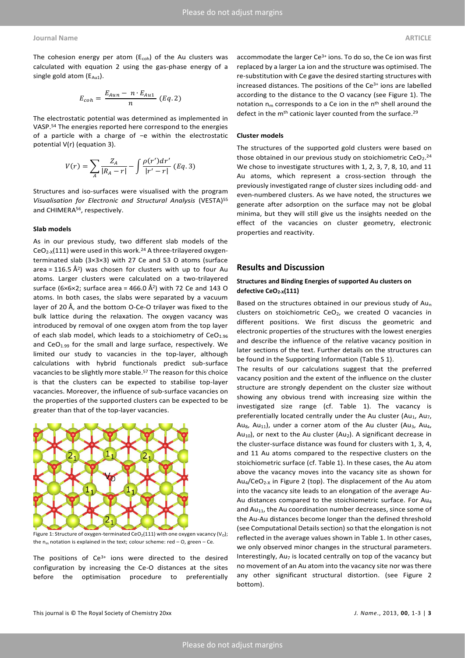#### **Journal Name ARTICLE**

The cohesion energy per atom  $(E_{coh})$  of the Au clusters was calculated with equation 2 using the gas-phase energy of a single gold atom  $(E_{Au1})$ .

$$
E_{coh} = \frac{E_{Aun} - n \cdot E_{Au1}}{n} (Eq. 2)
$$

The electrostatic potential was determined as implemented in VASP.<sup>54</sup> The energies reported here correspond to the energies of a particle with a charge of −e within the electrostatic potential V(r) (equation 3).

$$
V(r) = \sum_{A} \frac{Z_A}{|R_A - r|} - \int \frac{\rho(r') dr'}{|r' - r|} \ (Eq. 3)
$$

Structures and iso-surfaces were visualised with the program *Visualisation for Electronic and Structural Analysis* (VESTA) 55 and CHIMERA<sup>56</sup>, respectively.

### **Slab models**

As in our previous study, two different slab models of the CeO<sub>2-X</sub>(111) were used in this work.<sup>24</sup> A three-trilayered oxygenterminated slab (3×3×3) with 27 Ce and 53 O atoms (surface area = 116.5 Å<sup>2</sup> ) was chosen for clusters with up to four Au atoms. Larger clusters were calculated on a two-trilayered surface (6×6×2; surface area = 466.0 Å<sup>2</sup>) with 72 Ce and 143 O atoms. In both cases, the slabs were separated by a vacuum layer of 20 Å, and the bottom O-Ce-O trilayer was fixed to the bulk lattice during the relaxation. The oxygen vacancy was introduced by removal of one oxygen atom from the top layer of each slab model, which leads to a stoichiometry of  $CeO<sub>1.96</sub>$ and  $CeO<sub>1.99</sub>$  for the small and large surface, respectively. We limited our study to vacancies in the top-layer, although calculations with hybrid functionals predict sub-surface vacancies to be slightly more stable. <sup>57</sup> The reason for this choice is that the clusters can be expected to stabilise top-layer vacancies. Moreover, the influence of sub-surface vacancies on the properties of the supported clusters can be expected to be greater than that of the top-layer vacancies.



Figure 1: Structure of oxygen-terminated CeO<sub>2</sub>(111) with one oxygen vacancy (V<sub>o</sub>); the  $n_m$  notation is explained in the text; colour scheme: red  $-$  O, green  $-$  Ce.

The positions of Ce<sup>3+</sup> ions were directed to the desired configuration by increasing the Ce-O distances at the sites before the optimisation procedure to preferentially

accommodate the larger Ce<sup>3+</sup> ions. To do so, the Ce ion was first replaced by a larger La ion and the structure was optimised. The re-substitution with Ce gave the desired starting structures with increased distances. The positions of the  $Ce<sup>3+</sup>$  ions are labelled according to the distance to the O vacancy (see Figure 1). The notation  $n_m$  corresponds to a Ce ion in the  $n<sup>th</sup>$  shell around the defect in the m<sup>th</sup> cationic layer counted from the surface.<sup>29</sup>

#### **Cluster models**

The structures of the supported gold clusters were based on those obtained in our previous study on stoichiometric  $CeO<sub>2</sub>$ .<sup>24</sup> We chose to investigate structures with 1, 2, 3, 7, 8, 10, and 11 Au atoms, which represent a cross-section through the previously investigated range of cluster sizes including odd- and even-numbered clusters. As we have noted, the structures we generate after adsorption on the surface may not be global minima, but they will still give us the insights needed on the effect of the vacancies on cluster geometry, electronic properties and reactivity.

## **Results and Discussion**

## **Structures and Binding Energies of supported Au clusters on defective CeO2-X(111)**

Based on the structures obtained in our previous study of  $Au_n$ clusters on stoichiometric  $CeO<sub>2</sub>$ , we created O vacancies in different positions. We first discuss the geometric and electronic properties of the structures with the lowest energies and describe the influence of the relative vacancy position in later sections of the text. Further details on the structures can be found in the Supporting Information (Table S 1).

The results of our calculations suggest that the preferred vacancy position and the extent of the influence on the cluster structure are strongly dependent on the cluster size without showing any obvious trend with increasing size within the investigated size range (cf. Table 1). The vacancy is preferentially located centrally under the Au cluster (Au<sub>1</sub>, Au<sub>7</sub>, Au<sub>8</sub>, Au<sub>11</sub>), under a corner atom of the Au cluster (Au<sub>3</sub>, Au<sub>4</sub>,  $Au_{10}$ ), or next to the Au cluster (Au<sub>2</sub>). A significant decrease in the cluster-surface distance was found for clusters with 1, 3, 4, and 11 Au atoms compared to the respective clusters on the stoichiometric surface (cf. Table 1). In these cases, the Au atom above the vacancy moves into the vacancy site as shown for  $Au_4/CeO_{2-x}$  in Figure 2 (top). The displacement of the Au atom into the vacancy site leads to an elongation of the average Au-Au distances compared to the stoichiometric surface. For Au<sup>4</sup> and  $Au_{11}$ , the Au coordination number decreases, since some of the Au-Au distances become longer than the defined threshold (see Computational Details section) so that the elongation is not reflected in the average values shown in Table 1. In other cases, we only observed minor changes in the structural parameters. Interestingly,  $Au<sub>7</sub>$  is located centrally on top of the vacancy but no movement of an Au atom into the vacancy site nor was there any other significant structural distortion. (see Figure 2 bottom).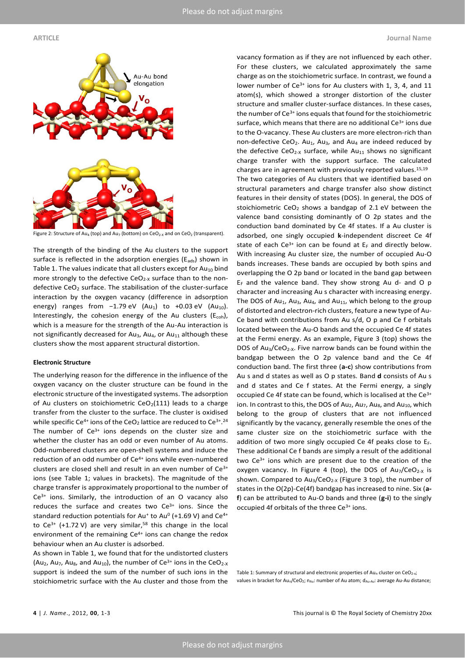

Figure 2: Structure of Au<sub>4</sub> (top) and Au<sub>7</sub> (bottom) on CeO<sub>2-X</sub> and on CeO<sub>2</sub> (transparent).

The strength of the binding of the Au clusters to the support surface is reflected in the adsorption energies (E<sub>ads</sub>) shown in Table 1. The values indicate that all clusters except for  $Au_{10}$  bind more strongly to the defective  $CeO<sub>2-X</sub>$  surface than to the nondefective  $CeO<sub>2</sub>$  surface. The stabilisation of the cluster-surface interaction by the oxygen vacancy (difference in adsorption energy) ranges from  $-1.79$  eV (Au<sub>1</sub>) to +0.03 eV (Au<sub>10</sub>). Interestingly, the cohesion energy of the Au clusters  $(E_{coh})$ , which is a measure for the strength of the Au-Au interaction is not significantly decreased for Au<sub>3</sub>, Au<sub>4</sub>, or Au<sub>11</sub> although these clusters show the most apparent structural distortion.

#### **Electronic Structure**

The underlying reason for the difference in the influence of the oxygen vacancy on the cluster structure can be found in the electronic structure of the investigated systems. The adsorption of Au clusters on stoichiometric  $CeO<sub>2</sub>(111)$  leads to a charge transfer from the cluster to the surface. The cluster is oxidised while specific Ce<sup>4+</sup> ions of the CeO<sub>2</sub> lattice are reduced to Ce<sup>3+</sup>.<sup>24</sup> The number of  $Ce<sup>3+</sup>$  ions depends on the cluster size and whether the cluster has an odd or even number of Au atoms. Odd-numbered clusters are open-shell systems and induce the reduction of an odd number of Ce<sup>4+</sup> ions while even-numbered clusters are closed shell and result in an even number of Ce3+ ions (see Table 1; values in brackets). The magnitude of the charge transfer is approximately proportional to the number of Ce3+ ions. Similarly, the introduction of an O vacancy also reduces the surface and creates two Ce<sup>3+</sup> ions. Since the standard reduction potentials for Au<sup>+</sup> to Au<sup>0</sup> (+1.69 V) and Ce<sup>4+</sup> to Ce3+ (+1.72 V) are very similar, <sup>58</sup> this change in the local environment of the remaining Ce<sup>4+</sup> ions can change the redox behaviour when an Au cluster is adsorbed.

As shown in Table 1, we found that for the undistorted clusters (Au<sub>2</sub>, Au<sub>7</sub>, Au<sub>8</sub>, and Au<sub>10</sub>), the number of Ce<sup>3+</sup> ions in the CeO<sub>2-X</sub> support is indeed the sum of the number of such ions in the stoichiometric surface with the Au cluster and those from the

vacancy formation as if they are not influenced by each other. For these clusters, we calculated approximately the same charge as on the stoichiometric surface. In contrast, we found a lower number of Ce<sup>3+</sup> ions for Au clusters with 1, 3, 4, and 11 atom(s), which showed a stronger distortion of the cluster structure and smaller cluster-surface distances. In these cases, the number of  $Ce^{3+}$  ions equals that found for the stoichiometric surface, which means that there are no additional  $Ce<sup>3+</sup>$  ions due to the O-vacancy. These Au clusters are more electron-rich than non-defective CeO<sub>2</sub>. Au<sub>1</sub>, Au<sub>3</sub>, and Au<sub>4</sub> are indeed reduced by the defective  $CeO<sub>2-X</sub>$  surface, while Au<sub>11</sub> shows no significant charge transfer with the support surface. The calculated charges are in agreement with previously reported values.15,19 The two categories of Au clusters that we identified based on structural parameters and charge transfer also show distinct features in their density of states (DOS). In general, the DOS of stoichiometric  $Co<sub>2</sub>$  shows a bandgap of 2.1 eV between the valence band consisting dominantly of O 2p states and the conduction band dominated by Ce 4f states. If a Au cluster is adsorbed, one singly occupied **k**-independent discreet Ce 4f state of each Ce<sup>3+</sup> ion can be found at  $E_F$  and directly below. With increasing Au cluster size, the number of occupied Au-O bands increases. These bands are occupied by both spins and overlapping the O 2p band or located in the band gap between  $E_F$  and the valence band. They show strong Au d- and O p character and increasing Au s character with increasing energy. The DOS of Au<sub>1</sub>, Au<sub>3</sub>, Au<sub>4</sub>, and Au<sub>11</sub>, which belong to the group of distorted and electron-rich clusters, feature a new type of Au-Ce band with contributions from Au s/d, O p and Ce f orbitals located between the Au-O bands and the occupied Ce 4f states at the Fermi energy. As an example, Figure 3 (top) shows the DOS of  $Au_3/CeO_{2-x}$ . Five narrow bands can be found within the bandgap between the O 2p valence band and the Ce 4f conduction band. The first three (**a-c**) show contributions from Au s and d states as well as O p states. Band **d** consists of Au s and d states and Ce f states. At the Fermi energy, a singly occupied Ce 4f state can be found, which is localised at the Ce<sup>3+</sup> ion. In contrast to this, the DOS of Au<sub>2</sub>, Au<sub>7</sub>, Au<sub>8</sub>, and Au<sub>10</sub>, which belong to the group of clusters that are not influenced significantly by the vacancy, generally resemble the ones of the same cluster size on the stoichiometric surface with the addition of two more singly occupied Ce 4f peaks close to  $E_F$ . These additional Ce f bands are simply a result of the additional two  $Ce^{3+}$  ions which are present due to the creation of the oxygen vacancy. In Figure 4 (top), the DOS of  $Au_7/CeO_{2-x}$  is shown. Compared to  $Au_3/CeO_{2-x}$  (Figure 3 top), the number of states in the O(2p)-Ce(4f) bandgap has increased to nine. Six (**af**) can be attributed to Au-O bands and three (**g-i**) to the singly occupied 4f orbitals of the three Ce<sup>3+</sup> ions.

Table 1: Summary of structural and electronic properties of Au<sub>n</sub> cluster on CeO<sub>2-x</sub>; values in bracket for  $Au_n/CeO_2$ ;  $n_{Au}$ : number of Au atom;  $d_{Au\text{-}Au}$ : average Au-Au distance;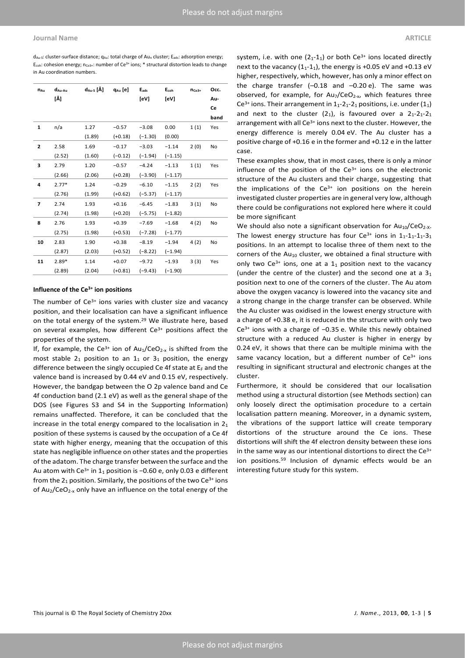$d_{Au\cdot S}$ : cluster-surface distance;  $q_{Au}$ : total charge of Au<sub>n</sub> cluster; E<sub>ads</sub>: adsorption energy;  $E_{coh}$ : cohesion energy; n<sub>Ce3+</sub>: number of Ce<sup>3+</sup> ions; \* structural distortion leads to change in Au coordination numbers.

| $n_{Au}$     | $d_{Au-Au}$ | d <sub>Au-S</sub> [Å] | q <sub>Au</sub> [e] | $E_{ads}$ | $E_{coh}$ | $n_{Ce3+}$ | Occ. |
|--------------|-------------|-----------------------|---------------------|-----------|-----------|------------|------|
|              | [Å]         |                       |                     | [eV]      | [eV]      |            | Au-  |
|              |             |                       |                     |           |           |            | Ce   |
|              |             |                       |                     |           |           |            | band |
| 1            | n/a         | 1.27                  | $-0.57$             | $-3.08$   | 0.00      | 1(1)       | Yes  |
|              |             | (1.89)                | $(+0.18)$           | $(-1.30)$ | (0.00)    |            |      |
| $\mathbf{z}$ | 2.58        | 1.69                  | $-0.17$             | $-3.03$   | $-1.14$   | 2(0)       | No   |
|              | (2.52)      | (1.60)                | $(-0.12)$           | $(-1.94)$ | $(-1.15)$ |            |      |
| 3            | 2.79        | 1.20                  | $-0.57$             | $-4.24$   | $-1.13$   | 1(1)       | Yes  |
|              | (2.66)      | (2.06)                | $(+0.28)$           | $(-3.90)$ | $(-1.17)$ |            |      |
| 4            | $2.77*$     | 1.24                  | $-0.29$             | $-6.10$   | $-1.15$   | 2(2)       | Yes  |
|              | (2.76)      | (1.99)                | $(+0.62)$           | $(-5.37)$ | $(-1.17)$ |            |      |
| 7            | 2.74        | 1.93                  | $+0.16$             | $-6.45$   | $-1.83$   | 3(1)       | No   |
|              | (2.74)      | (1.98)                | $(+0.20)$           | $(-5.75)$ | $(-1.82)$ |            |      |
| 8            | 2.76        | 1.93                  | $+0.39$             | $-7.69$   | $-1.68$   | 4(2)       | No   |
|              | (2.75)      | (1.98)                | $(+0.53)$           | $(-7.28)$ | $(-1.77)$ |            |      |
| 10           | 2.83        | 1.90                  | $+0.38$             | $-8.19$   | $-1.94$   | 4(2)       | No   |
|              | (2.87)      | (2.03)                | $(+0.52)$           | $(-8.22)$ | $(-1.94)$ |            |      |
| 11           | $2.89*$     | 1.14                  | $+0.07$             | $-9.72$   | $-1.93$   | 3(3)       | Yes  |
|              | (2.89)      | (2.04)                | $(+0.81)$           | $(-9.43)$ | $(-1.90)$ |            |      |
|              |             |                       |                     |           |           |            |      |

#### **Influence of the Ce3+ ion positions**

The number of  $Ce^{3+}$  ions varies with cluster size and vacancy position, and their localisation can have a significant influence on the total energy of the system.<sup>29</sup> We illustrate here, based on several examples, how different  $Ce^{3+}$  positions affect the properties of the system.

If, for example, the Ce<sup>3+</sup> ion of  $Au_1/CeO_{2-x}$  is shifted from the most stable  $2_1$  position to an  $1_1$  or  $3_1$  position, the energy difference between the singly occupied Ce 4f state at  $E_F$  and the valence band is increased by 0.44 eV and 0.15 eV, respectively. However, the bandgap between the O 2p valence band and Ce 4f conduction band (2.1 eV) as well as the general shape of the DOS (see Figures S3 and S4 in the Supporting Information) remains unaffected. Therefore, it can be concluded that the increase in the total energy compared to the localisation in  $2<sub>1</sub>$ position of these systems is caused by the occupation of a Ce 4f state with higher energy, meaning that the occupation of this state has negligible influence on other states and the properties of the adatom. The charge transfer between the surface and the Au atom with Ce<sup>3+</sup> in 1<sub>1</sub> position is −0.60 e, only 0.03 e different from the  $2_1$  position. Similarly, the positions of the two Ce<sup>3+</sup> ions of  $Au_2/CeO_{2-x}$  only have an influence on the total energy of the

system, i.e. with one  $(2<sub>1</sub>-1<sub>1</sub>)$  or both Ce<sup>3+</sup> ions located directly next to the vacancy  $(1<sub>1</sub>-1<sub>1</sub>)$ , the energy is +0.05 eV and +0.13 eV higher, respectively, which, however, has only a minor effect on the charge transfer  $(-0.18$  and  $-0.20$  e). The same was observed, for example, for  $Au_7/CeO_{2-x}$ , which features three Ce<sup>3+</sup> ions. Their arrangement in  $1<sub>1</sub>$ -2<sub>1</sub>-2<sub>1</sub> positions, i.e. under (1<sub>1</sub>) and next to the cluster  $(2_1)$ , is favoured over a  $2_1-2_1-2_1$ arrangement with all Ce<sup>3+</sup> ions next to the cluster. However, the energy difference is merely 0.04 eV. The Au cluster has a positive charge of +0.16 e in the former and +0.12 e in the latter case.

These examples show, that in most cases, there is only a minor influence of the position of the Ce<sup>3+</sup> ions on the electronic structure of the Au clusters and their charge, suggesting that the implications of the  $Ce^{3+}$  ion positions on the herein investigated cluster properties are in general very low, although there could be configurations not explored here where it could be more significant

We should also note a significant observation for  $Au_{10}/CeO_{2-x}$ . The lowest energy structure has four  $Ce^{3+}$  ions in  $1_1-1_1-1_1-3_1$ positions. In an attempt to localise three of them next to the corners of the  $Au_{10}$  cluster, we obtained a final structure with only two Ce<sup>3+</sup> ions, one at a  $1<sub>1</sub>$  position next to the vacancy (under the centre of the cluster) and the second one at a  $3<sub>1</sub>$ position next to one of the corners of the cluster. The Au atom above the oxygen vacancy is lowered into the vacancy site and a strong change in the charge transfer can be observed. While the Au cluster was oxidised in the lowest energy structure with a charge of +0.38 e, it is reduced in the structure with only two Ce3+ ions with a charge of −0.35 e. While this newly obtained structure with a reduced Au cluster is higher in energy by 0.24 eV, it shows that there can be multiple minima with the same vacancy location, but a different number of  $Ce<sup>3+</sup>$  ions resulting in significant structural and electronic changes at the cluster.

Furthermore, it should be considered that our localisation method using a structural distortion (see Methods section) can only loosely direct the optimisation procedure to a certain localisation pattern meaning. Moreover, in a dynamic system, the vibrations of the support lattice will create temporary distortions of the structure around the Ce ions. These distortions will shift the 4f electron density between these ions in the same way as our intentional distortions to direct the  $\text{Ce}^{3+}$ ion positions.<sup>59</sup> Inclusion of dynamic effects would be an interesting future study for this system.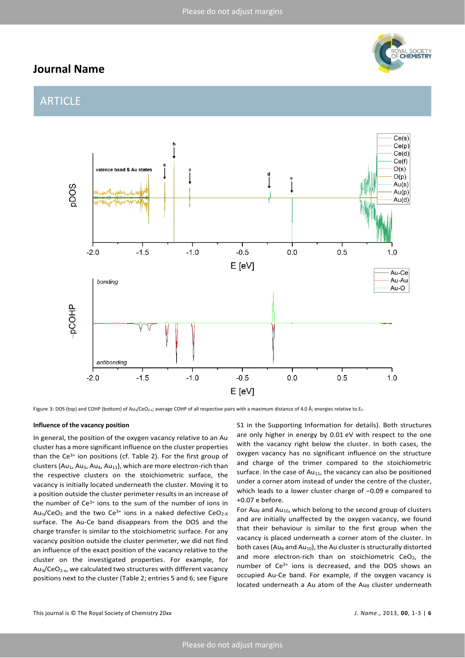# **Journal Name**



# **ARTICLE**



Figure 3: DOS (top) and COHP (bottom) of Au<sub>3</sub>/CeO<sub>2-x</sub>; average COHP of all respective pairs with a maximum distance of 4.0 Å; energies relative to E<sub>F</sub>.

### **Influence of the vacancy position**

In general, the position of the oxygen vacancy relative to an Au cluster has a more significant influence on the cluster properties than the  $Ce^{3+}$  ion positions (cf. Table 2). For the first group of clusters (Au<sub>1</sub>, Au<sub>3</sub>, Au<sub>4</sub>, Au<sub>11</sub>), which are more electron-rich than the respective clusters on the stoichiometric surface, the vacancy is initially located underneath the cluster. Moving it to a position outside the cluster perimeter results in an increase of the number of Ce3+ ions to the sum of the number of ions in  $Au_n/CeO_2$  and the two Ce<sup>3+</sup> ions in a naked defective CeO<sub>2-X</sub> surface. The Au-Ce band disappears from the DOS and the charge transfer is similar to the stoichiometric surface. For any vacancy position outside the cluster perimeter, we did not find an influence of the exact position of the vacancy relative to the cluster on the investigated properties. For example, for  $Au<sub>3</sub>/CeO<sub>2-x</sub>$ , we calculated two structures with different vacancy positions next to the cluster (Table 2; entries 5 and 6; see Figure S1 in the Supporting Information for details). Both structures are only higher in energy by 0.01 eV with respect to the one with the vacancy right below the cluster. In both cases, the oxygen vacancy has no significant influence on the structure and charge of the trimer compared to the stoichiometric surface. In the case of  $Au_{11}$ , the vacancy can also be positioned under a corner atom instead of under the centre of the cluster, which leads to a lower cluster charge of -0.09 e compared to +0.07 e before.

For Au $_8$  and Au<sub>10</sub>, which belong to the second group of clusters and are initially unaffected by the oxygen vacancy, we found that their behaviour is similar to the first group when the vacancy is placed underneath a corner atom of the cluster. In both cases (Au $_8$  and Au<sub>10</sub>), the Au cluster is structurally distorted and more electron-rich than on stoichiometric  $CeO<sub>2</sub>$ , the number of  $Ce<sup>3+</sup>$  ions is decreased, and the DOS shows an occupied Au-Ce band. For example, if the oxygen vacancy is located underneath a Au atom of the Au<sub>8</sub> cluster underneath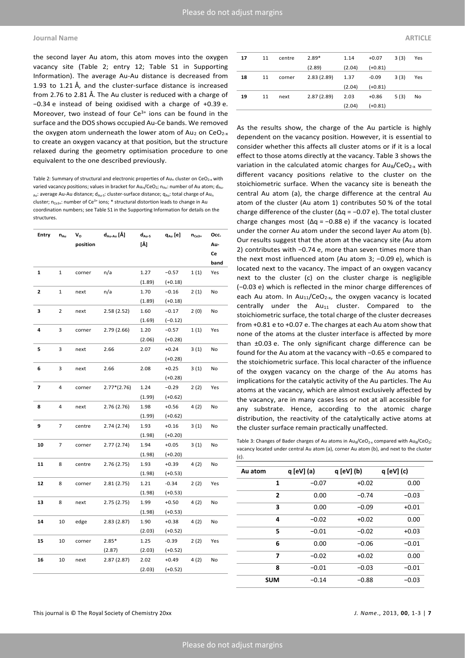the second layer Au atom, this atom moves into the oxygen vacancy site (Table 2; entry 12; Table S1 in Supporting Information). The average Au-Au distance is decreased from 1.93 to 1.21 Å, and the cluster-surface distance is increased from 2.76 to 2.81 Å. The Au cluster is reduced with a charge of −0.34 e instead of being oxidised with a charge of +0.39 e. Moreover, two instead of four  $Ce<sup>3+</sup>$  ions can be found in the surface and the DOS shows occupied Au-Ce bands. We removed the oxygen atom underneath the lower atom of  $Au_2$  on CeO<sub>2-x</sub> to create an oxygen vacancy at that position, but the structure relaxed during the geometry optimisation procedure to one equivalent to the one described previously.

Table 2: Summary of structural and electronic properties of Au<sub>n</sub> cluster on CeO<sub>2-x</sub> with varied vacancy positions; values in bracket for  $Au_n/CeO_2$ ;  $n_{Au}$ : number of Au atom;  $d_{Au}$ .  $_{Au}$ : average Au-Au distance; d<sub>Au-S</sub>: cluster-surface distance; q<sub>Au</sub>: total charge of Au<sub>n</sub> cluster;  $n_{\text{Ce3+}}$ : number of Ce<sup>3+</sup> ions; \* structural distortion leads to change in Au coordination numbers; see Table S1 in the Supporting Information for details on the structures.

| <b>Entry</b> | $n_{Au}$ | v.       | d <sub>Au-Au</sub> [Å] | $d_{Au-S}$ | q <sub>au</sub> [e] | $n_{Ce3+}$ | Occ. |
|--------------|----------|----------|------------------------|------------|---------------------|------------|------|
|              |          | position |                        | [Å]        |                     |            | Au-  |
|              |          |          |                        |            |                     |            | Ce   |
|              |          |          |                        |            |                     |            | band |
| 1            | 1        | corner   | n/a                    | 1.27       | $-0.57$             | 1(1)       | Yes  |
|              |          |          |                        | (1.89)     | $(+0.18)$           |            |      |
| 2            | 1        | next     | n/a                    | 1.70       | $-0.16$             | 2(1)       | No   |
|              |          |          |                        | (1.89)     | $(+0.18)$           |            |      |
| 3            | 2        | next     | 2.58(2.52)             | 1.60       | $-0.17$             | 2(0)       | No   |
|              |          |          |                        | (1.69)     | $(-0.12)$           |            |      |
| 4            | 3        | corner   | 2.79(2.66)             | 1.20       | $-0.57$             | 1(1)       | Yes  |
|              |          |          |                        | (2.06)     | $(+0.28)$           |            |      |
| 5            | 3        | next     | 2.66                   | 2.07       | $+0.24$             | 3(1)       | No   |
|              |          |          |                        |            | $(+0.28)$           |            |      |
| 6            | 3        | next     | 2.66                   | 2.08       | $+0.25$             | 3(1)       | No   |
|              |          |          |                        |            | $(+0.28)$           |            |      |
| 7            | 4        | corner   | $2.77*(2.76)$          | 1.24       | $-0.29$             | 2(2)       | Yes  |
|              |          |          |                        | (1.99)     | $(+0.62)$           |            |      |
| 8            | 4        | next     | 2.76(2.76)             | 1.98       | $+0.56$             | 4(2)       | No   |
|              |          |          |                        | (1.99)     | $(+0.62)$           |            |      |
| 9            | 7        | centre   | 2.74(2.74)             | 1.93       | $+0.16$             | 3(1)       | No   |
|              |          |          |                        | (1.98)     | $(+0.20)$           |            |      |
| 10           | 7        | corner   | 2.77(2.74)             | 1.94       | $+0.05$             | 3(1)       | No   |
|              |          |          |                        | (1.98)     | $(+0.20)$           |            |      |
| 11           | 8        | centre   | 2.76(2.75)             | 1.93       | $+0.39$             | 4 (2)      | No   |
|              |          |          |                        | (1.98)     | $(+0.53)$           |            |      |
| 12           | 8        | corner   | 2.81 (2.75)            | 1.21       | $-0.34$             | 2(2)       | Yes  |
|              |          |          |                        | (1.98)     | $(+0.53)$           |            |      |
| 13           | 8        | next     | 2.75(2.75)             | 1.99       | $+0.50$             | 4(2)       | No   |
|              |          |          |                        | (1.98)     | (+0.53)             |            |      |
| 14           | 10       | edge     | 2.83(2.87)             | 1.90       | $+0.38$             | 4(2)       | No   |
|              |          |          |                        | (2.03)     | $(+0.52)$           |            |      |
| 15           | 10       | corner   | $2.85*$                | 1.25       | $-0.39$             | 2(2)       | Yes  |
|              |          |          | (2.87)                 | (2.03)     | (+0.52)             |            |      |
| 16           | 10       | next     | 2.87(2.87)             | 2.02       | $+0.49$             | 4(2)       | No   |
|              |          |          |                        | (2.03)     | $(+0.52)$           |            |      |
|              |          |          |                        |            |                     |            |      |

| 17 | 11 | centre | $2.89*$    | 1.14   | $+0.07$   | 3(3) | Yes |
|----|----|--------|------------|--------|-----------|------|-----|
|    |    |        | (2.89)     | (2.04) | $(+0.81)$ |      |     |
| 18 | 11 | corner | 2.83(2.89) | 1.37   | $-0.09$   | 3(3) | Yes |
|    |    |        |            | (2.04) | $(+0.81)$ |      |     |
| 19 | 11 | next   | 2.87(2.89) | 2.03   | $+0.86$   | 5(3) | No  |
|    |    |        |            | (2.04) | $(+0.81)$ |      |     |
|    |    |        |            |        |           |      |     |

As the results show, the charge of the Au particle is highly dependent on the vacancy position. However, it is essential to consider whether this affects all cluster atoms or if it is a local effect to those atoms directly at the vacancy. Table 3 shows the variation in the calculated atomic charges for  $Au_8/CeO_{2-x}$  with different vacancy positions relative to the cluster on the stoichiometric surface. When the vacancy site is beneath the central Au atom (a), the charge difference at the central Au atom of the cluster (Au atom 1) contributes 50 % of the total charge difference of the cluster ( $\Delta q$  = -0.07 e). The total cluster charge changes most  $(\Delta q = -0.88 e)$  if the vacancy is located under the corner Au atom under the second layer Au atom (b). Our results suggest that the atom at the vacancy site (Au atom 2) contributes with −0.74 e, more than seven times more than the next most influenced atom (Au atom 3; −0.09 e), which is located next to the vacancy. The impact of an oxygen vacancy next to the cluster (c) on the cluster charge is negligible (−0.03 e) which is reflected in the minor charge differences of each Au atom. In  $Au_{11}/CeO_{2-x}$ , the oxygen vacancy is located centrally under the  $Au_{11}$  cluster. Compared to the stoichiometric surface, the total charge of the cluster decreases from +0.81 e to +0.07 e. The charges at each Au atom show that none of the atoms at the cluster interface is affected by more than ±0.03 e. The only significant charge difference can be found for the Au atom at the vacancy with −0.65 e compared to the stoichiometric surface. This local character of the influence of the oxygen vacancy on the charge of the Au atoms has implications for the catalytic activity of the Au particles. The Au atoms at the vacancy, which are almost exclusively affected by the vacancy, are in many cases less or not at all accessible for any substrate. Hence, according to the atomic charge distribution, the reactivity of the catalytically active atoms at the cluster surface remain practically unaffected.

Table 3: Changes of Bader charges of Au atoms in  $Au_8/CeO_{2-x}$  compared with  $Au_8/CeO_2$ ; vacancy located under central Au atom (a), corner Au atom (b), and next to the cluster (c).

| Au atom      | <b>q</b> [eV] (a) | q [eV] (b) | q [eV] (c) |
|--------------|-------------------|------------|------------|
| 1            | $-0.07$           | $+0.02$    | 0.00       |
| $\mathbf{2}$ | 0.00              | $-0.74$    | $-0.03$    |
| 3            | 0.00              | $-0.09$    | $+0.01$    |
| 4            | $-0.02$           | $+0.02$    | 0.00       |
| 5            | $-0.01$           | $-0.02$    | $+0.03$    |
| 6            | 0.00              | $-0.06$    | $-0.01$    |
| 7            | $-0.02$           | $+0.02$    | 0.00       |
| 8            | $-0.01$           | $-0.03$    | $-0.01$    |
| <b>SUM</b>   | $-0.14$           | $-0.88$    | $-0.03$    |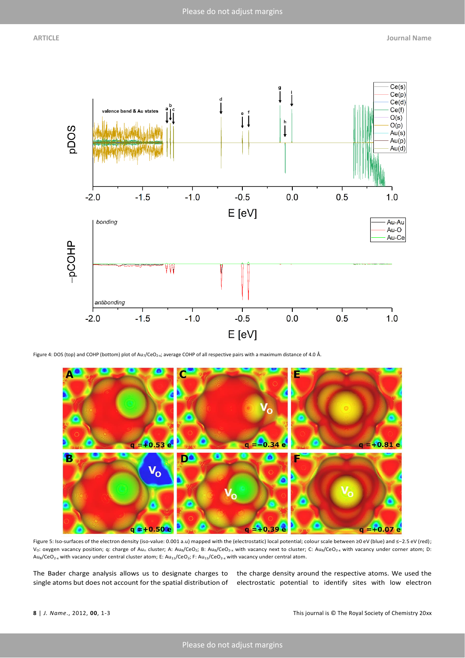

Figure 4: DOS (top) and COHP (bottom) plot of Au<sub>7</sub>/CeO<sub>2-x</sub>; average COHP of all respective pairs with a maximum distance of 4.0 Å.



Figure 5: Iso-surfaces of the electron density (iso-value: 0.001 a.u) mapped with the (electrostatic) local potential; colour scale between ≥0 eV (blue) and ≤−2.5 eV (red); Vo: oxygen vacancy position; q: charge of Au<sub>n</sub> cluster; A: Au<sub>8</sub>/CeO<sub>2</sub>; B: Au<sub>8</sub>/CeO<sub>2-x</sub> with vacancy next to cluster; C: Au<sub>8</sub>/CeO<sub>2-x</sub> with vacancy under corner atom; D: Au<sub>8</sub>/CeO<sub>2-x</sub> with vacancy under central cluster atom; E: Au<sub>11</sub>/CeO<sub>2</sub>; F: Au<sub>11</sub>/CeO<sub>2-x</sub> with vacancy under central atom.

The Bader charge analysis allows us to designate charges to the charge density around the respective atoms. We used the

single atoms but does not account for the spatial distribution of electrostatic potential to identify sites with low electron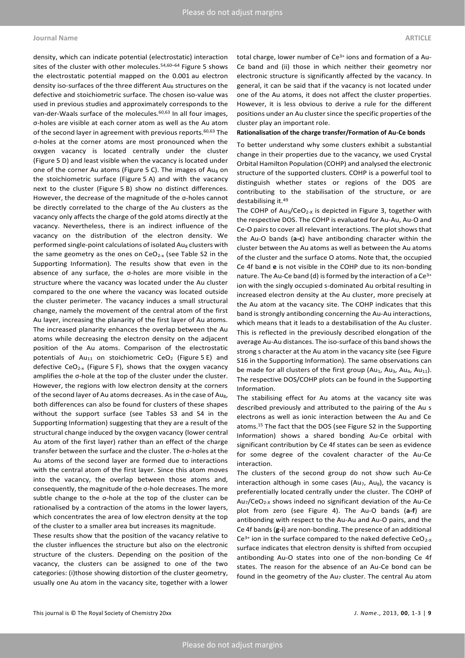#### **Journal Name ARTICLE**

density, which can indicate potential (electrostatic) interaction sites of the cluster with other molecules.<sup>54,60-64</sup> Figure 5 shows the electrostatic potential mapped on the 0.001 au electron density iso-surfaces of the three different Au<sub>8</sub> structures on the defective and stoichiometric surface. The chosen iso-value was used in previous studies and approximately corresponds to the van-der-Waals surface of the molecules.<sup>60,63</sup> In all four images, σ-holes are visible at each corner atom as well as the Au atom of the second layer in agreement with previous reports.<sup>60,63</sup> The σ-holes at the corner atoms are most pronounced when the oxygen vacancy is located centrally under the cluster (Figure 5 D) and least visible when the vacancy is located under one of the corner Au atoms (Figure 5 C). The images of Au<sub>8</sub> on the stoichiometric surface (Figure 5 A) and with the vacancy next to the cluster (Figure 5 B) show no distinct differences. However, the decrease of the magnitude of the σ-holes cannot be directly correlated to the charge of the Au clusters as the vacancy only affects the charge of the gold atoms directly at the vacancy. Nevertheless, there is an indirect influence of the vacancy on the distribution of the electron density. We performed single-point calculations of isolated Au<sub>8</sub> clusters with the same geometry as the ones on  $CeO<sub>2-x</sub>$  (see Table S2 in the Supporting Information). The results show that even in the absence of any surface, the σ-holes are more visible in the structure where the vacancy was located under the Au cluster compared to the one where the vacancy was located outside the cluster perimeter. The vacancy induces a small structural change, namely the movement of the central atom of the first Au layer, increasing the planarity of the first layer of Au atoms. The increased planarity enhances the overlap between the Au atoms while decreasing the electron density on the adjacent position of the Au atoms. Comparison of the electrostatic potentials of  $Au_{11}$  on stoichiometric CeO<sub>2</sub> (Figure 5 E) and defective CeO<sub>2-x</sub> (Figure 5 F), shows that the oxygen vacancy amplifies the σ-hole at the top of the cluster under the cluster. However, the regions with low electron density at the corners of the second layer of Au atoms decreases. As in the case of Au<sub>8</sub>, both differences can also be found for clusters of these shapes without the support surface (see Tables S3 and S4 in the Supporting Information) suggesting that they are a result of the structural change induced by the oxygen vacancy (lower central Au atom of the first layer) rather than an effect of the charge transfer between the surface and the cluster. The σ-holes at the Au atoms of the second layer are formed due to interactions with the central atom of the first layer. Since this atom moves into the vacancy, the overlap between those atoms and, consequently, the magnitude of the σ-hole decreases. The more subtle change to the σ-hole at the top of the cluster can be rationalised by a contraction of the atoms in the lower layers, which concentrates the area of low electron density at the top of the cluster to a smaller area but increases its magnitude.

These results show that the position of the vacancy relative to the cluster influences the structure but also on the electronic structure of the clusters. Depending on the position of the vacancy, the clusters can be assigned to one of the two categories: (i)those showing distortion of the cluster geometry, usually one Au atom in the vacancy site, together with a lower total charge, lower number of Ce<sup>3+</sup> ions and formation of a Au-Ce band and (ii) those in which neither their geometry nor electronic structure is significantly affected by the vacancy. In general, it can be said that if the vacancy is not located under one of the Au atoms, it does not affect the cluster properties. However, it is less obvious to derive a rule for the different positions under an Au cluster since the specific properties of the cluster play an important role.

## **Rationalisation of the charge transfer/Formation of Au-Ce bonds**

To better understand why some clusters exhibit a substantial change in their properties due to the vacancy, we used Crystal Orbital Hamilton Population (COHP) and analysed the electronic structure of the supported clusters. COHP is a powerful tool to distinguish whether states or regions of the DOS are contributing to the stabilisation of the structure, or are destabilising it.<sup>49</sup>

The COHP of  $Au_3/CeO_{2-x}$  is depicted in Figure 3, together with the respective DOS. The COHP is evaluated for Au-Au, Au-O and Ce-O pairs to cover all relevant interactions. The plot shows that the Au-O bands (**a-c**) have antibonding character within the cluster between the Au atoms as well as between the Au atoms of the cluster and the surface O atoms. Note that, the occupied Ce 4f band **e** is not visible in the COHP due to its non-bonding nature. The Au-Ce band (d) is formed by the interaction of a Ce $3+$ ion with the singly occupied s-dominated Au orbital resulting in increased electron density at the Au cluster, more precisely at the Au atom at the vacancy site. The COHP indicates that this band is strongly antibonding concerning the Au-Au interactions, which means that it leads to a destabilisation of the Au cluster. This is reflected in the previously described elongation of the average Au-Au distances. The iso-surface of this band shows the strong s character at the Au atom in the vacancy site (see Figure S16 in the Supporting Information). The same observations can be made for all clusters of the first group (Au<sub>1</sub>, Au<sub>3</sub>, Au<sub>4</sub>, Au<sub>11</sub>). The respective DOS/COHP plots can be found in the Supporting Information.

The stabilising effect for Au atoms at the vacancy site was described previously and attributed to the pairing of the Au s electrons as well as ionic interaction between the Au and Ce atoms.<sup>15</sup> The fact that the DOS (see Figure S2 in the Supporting Information) shows a shared bonding Au-Ce orbital with significant contribution by Ce 4f states can be seen as evidence for some degree of the covalent character of the Au-Ce interaction.

The clusters of the second group do not show such Au-Ce interaction although in some cases (Au<sub>7</sub>, Au<sub>8</sub>), the vacancy is preferentially located centrally under the cluster. The COHP of  $Au<sub>7</sub>/CeO<sub>2-X</sub>$  shows indeed no significant deviation of the Au-Ce plot from zero (see Figure 4). The Au-O bands (**a-f**) are antibonding with respect to the Au-Au and Au-O pairs, and the Ce 4f bands(**g-i**) are non-bonding. The presence of an additional  $Ce^{3+}$  ion in the surface compared to the naked defective  $CeO_{2-x}$ surface indicates that electron density is shifted from occupied antibonding Au-O states into one of the non-bonding Ce 4f states. The reason for the absence of an Au-Ce bond can be found in the geometry of the Au<sub>7</sub> cluster. The central Au atom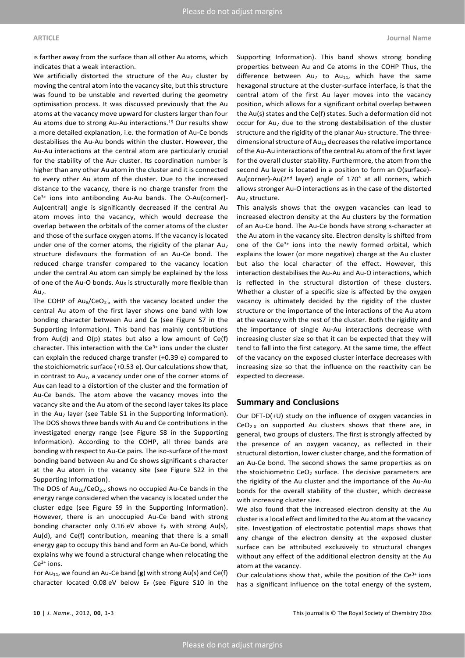is farther away from the surface than all other Au atoms, which indicates that a weak interaction.

We artificially distorted the structure of the Au<sub>7</sub> cluster by moving the central atom into the vacancy site, but this structure was found to be unstable and reverted during the geometry optimisation process. It was discussed previously that the Au atoms at the vacancy move upward for clusters larger than four Au atoms due to strong Au-Au interactions.<sup>19</sup> Our results show a more detailed explanation, i.e. the formation of Au-Ce bonds destabilises the Au-Au bonds within the cluster. However, the Au-Au interactions at the central atom are particularly crucial for the stability of the Au<sub>7</sub> cluster. Its coordination number is higher than any other Au atom in the cluster and it is connected to every other Au atom of the cluster. Due to the increased distance to the vacancy, there is no charge transfer from the Ce3+ ions into antibonding Au-Au bands. The O-Au(corner)- Au(central) angle is significantly decreased if the central Au atom moves into the vacancy, which would decrease the overlap between the orbitals of the corner atoms of the cluster and those of the surface oxygen atoms. If the vacancy is located under one of the corner atoms, the rigidity of the planar Au<sub>7</sub> structure disfavours the formation of an Au-Ce bond. The reduced charge transfer compared to the vacancy location under the central Au atom can simply be explained by the loss of one of the Au-O bonds. Au<sub>8</sub> is structurally more flexible than Au<sub>7</sub>.

The COHP of  $Au_8/CeO_{2-x}$  with the vacancy located under the central Au atom of the first layer shows one band with low bonding character between Au and Ce (see Figure S7 in the Supporting Information). This band has mainly contributions from  $Au(d)$  and  $O(p)$  states but also a low amount of  $Ce(f)$ character. This interaction with the  $Ce<sup>3+</sup>$  ions under the cluster can explain the reduced charge transfer (+0.39 e) compared to the stoichiometric surface (+0.53 e). Our calculations show that, in contrast to  $Au<sub>7</sub>$ , a vacancy under one of the corner atoms of Au $_8$  can lead to a distortion of the cluster and the formation of Au-Ce bands. The atom above the vacancy moves into the vacancy site and the Au atom of the second layer takes its place in the Au<sub>7</sub> layer (see Table S1 in the Supporting Information). The DOS shows three bands with Au and Ce contributions in the investigated energy range (see Figure S8 in the Supporting Information). According to the COHP, all three bands are bonding with respect to Au-Ce pairs. The iso-surface of the most bonding band between Au and Ce shows significant s character at the Au atom in the vacancy site (see Figure S22 in the Supporting Information).

The DOS of  $Au_{10}/CeO_{2-x}$  shows no occupied Au-Ce bands in the energy range considered when the vacancy is located under the cluster edge (see Figure S9 in the Supporting Information). However, there is an unoccupied Au-Ce band with strong bonding character only 0.16 eV above  $E_F$  with strong Au(s), Au(d), and Ce(f) contribution, meaning that there is a small energy gap to occupy this band and form an Au-Ce bond, which explains why we found a structural change when relocating the Ce3+ ions.

For Au<sub>11</sub>, we found an Au-Ce band (g) with strong Au(s) and Ce(f) character located 0.08 eV below  $E_F$  (see Figure S10 in the Supporting Information). This band shows strong bonding properties between Au and Ce atoms in the COHP Thus, the difference between Au<sub>7</sub> to Au<sub>11</sub>, which have the same hexagonal structure at the cluster-surface interface, is that the central atom of the first Au layer moves into the vacancy position, which allows for a significant orbital overlap between the Au(s) states and the Ce(f) states. Such a deformation did not occur for Au<sub>7</sub> due to the strong destabilisation of the cluster structure and the rigidity of the planar Au<sub>7</sub> structure. The threedimensional structure of  $Au_{11}$  decreases the relative importance of the Au-Au interactions of the central Au atom of the first layer for the overall cluster stability. Furthermore, the atom from the second Au layer is located in a position to form an O(surface)- Au(corner)-Au(2<sup>nd</sup> layer) angle of 170° at all corners, which allows stronger Au-O interactions as in the case of the distorted Au<sub>7</sub> structure.

This analysis shows that the oxygen vacancies can lead to increased electron density at the Au clusters by the formation of an Au-Ce bond. The Au-Ce bonds have strong s-character at the Au atom in the vacancy site. Electron density is shifted from one of the  $Ce^{3+}$  ions into the newly formed orbital, which explains the lower (or more negative) charge at the Au cluster but also the local character of the effect. However, this interaction destabilises the Au-Au and Au-O interactions, which is reflected in the structural distortion of these clusters. Whether a cluster of a specific size is affected by the oxygen vacancy is ultimately decided by the rigidity of the cluster structure or the importance of the interactions of the Au atom at the vacancy with the rest of the cluster. Both the rigidity and the importance of single Au-Au interactions decrease with increasing cluster size so that it can be expected that they will tend to fall into the first category. At the same time, the effect of the vacancy on the exposed cluster interface decreases with increasing size so that the influence on the reactivity can be expected to decrease.

### **Summary and Conclusions**

Our DFT-D(+U) study on the influence of oxygen vacancies in  $CeO<sub>2-X</sub>$  on supported Au clusters shows that there are, in general, two groups of clusters. The first is strongly affected by the presence of an oxygen vacancy, as reflected in their structural distortion, lower cluster charge, and the formation of an Au-Ce bond. The second shows the same properties as on the stoichiometric  $Co<sub>2</sub>$  surface. The decisive parameters are the rigidity of the Au cluster and the importance of the Au-Au bonds for the overall stability of the cluster, which decrease with increasing cluster size.

We also found that the increased electron density at the Au cluster is a local effect and limited to the Au atom at the vacancy site. Investigation of electrostatic potential maps shows that any change of the electron density at the exposed cluster surface can be attributed exclusively to structural changes without any effect of the additional electron density at the Au atom at the vacancy.

Our calculations show that, while the position of the Ce3+ ions has a significant influence on the total energy of the system,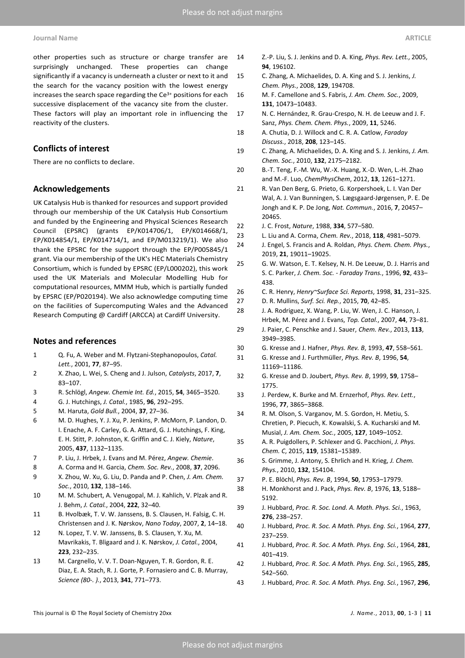other properties such as structure or charge transfer are surprisingly unchanged. These properties can change significantly if a vacancy is underneath a cluster or next to it and the search for the vacancy position with the lowest energy increases the search space regarding the  $Ce<sup>3+</sup>$  positions for each successive displacement of the vacancy site from the cluster. These factors will play an important role in influencing the reactivity of the clusters.

# **Conflicts of interest**

There are no conflicts to declare.

## **Acknowledgements**

UK Catalysis Hub is thanked for resources and support provided through our membership of the UK Catalysis Hub Consortium and funded by the Engineering and Physical Sciences Research Council (EPSRC) (grants EP/K014706/1, EP/K014668/1, EP/K014854/1, EP/K014714/1, and EP/M013219/1). We also thank the EPSRC for the support through the EP/P005845/1 grant. Via our membership of the UK's HEC Materials Chemistry Consortium, which is funded by EPSRC (EP/L000202), this work used the UK Materials and Molecular Modelling Hub for computational resources, MMM Hub, which is partially funded by EPSRC (EP/P020194). We also acknowledge computing time on the facilities of Supercomputing Wales and the Advanced Research Computing @ Cardiff (ARCCA) at Cardiff University.

# **Notes and references**

- 1 Q. Fu, A. Weber and M. Flytzani-Stephanopoulos, *Catal. Lett.*, 2001, **77**, 87–95.
- 2 X. Zhao, L. Wei, S. Cheng and J. Julson, *Catalysts*, 2017, **7**, 83–107.
- 3 R. Schlögl, *Angew. Chemie Int. Ed.*, 2015, **54**, 3465–3520.
- 4 G. J. Hutchings, *J. Catal.*, 1985, **96**, 292–295.
- 5 M. Haruta, *Gold Bull.*, 2004, **37**, 27–36.
- 6 M. D. Hughes, Y. J. Xu, P. Jenkins, P. McMorn, P. Landon, D. I. Enache, A. F. Carley, G. A. Attard, G. J. Hutchings, F. King, E. H. Stitt, P. Johnston, K. Griffin and C. J. Kiely, *Nature*, 2005, **437**, 1132–1135.
- 7 P. Liu, J. Hrbek, J. Evans and M. Pérez, *Angew. Chemie*.
- 8 A. Corma and H. Garcia, *Chem. Soc. Rev.*, 2008, **37**, 2096.
- 9 X. Zhou, W. Xu, G. Liu, D. Panda and P. Chen, *J. Am. Chem. Soc.*, 2010, **132**, 138–146.
- 10 M. M. Schubert, A. Venugopal, M. J. Kahlich, V. Plzak and R. J. Behm, *J. Catal.*, 2004, **222**, 32–40.
- 11 B. Hvolbæk, T. V. W. Janssens, B. S. Clausen, H. Falsig, C. H. Christensen and J. K. Nørskov, *Nano Today*, 2007, **2**, 14–18.
- 12 N. Lopez, T. V. W. Janssens, B. S. Clausen, Y. Xu, M. Mavrikakis, T. Bligaard and J. K. Nørskov, *J. Catal.*, 2004, **223**, 232–235.
- 13 M. Cargnello, V. V. T. Doan-Nguyen, T. R. Gordon, R. E. Diaz, E. A. Stach, R. J. Gorte, P. Fornasiero and C. B. Murray, *Science (80-. ).*, 2013, **341**, 771–773.
- 14 Z.-P. Liu, S. J. Jenkins and D. A. King, *Phys. Rev. Lett.*, 2005, **94**, 196102.
- 15 C. Zhang, A. Michaelides, D. A. King and S. J. Jenkins, *J. Chem. Phys.*, 2008, **129**, 194708.
- 16 M. F. Camellone and S. Fabris, *J. Am. Chem. Soc.*, 2009, **131**, 10473–10483.
- 17 N. C. Hernández, R. Grau-Crespo, N. H. de Leeuw and J. F. Sanz, *Phys. Chem. Chem. Phys.*, 2009, **11**, 5246.
- 18 A. Chutia, D. J. Willock and C. R. A. Catlow, *Faraday Discuss.*, 2018, **208**, 123–145.
- 19 C. Zhang, A. Michaelides, D. A. King and S. J. Jenkins, *J. Am. Chem. Soc.*, 2010, **132**, 2175–2182.
- 20 B.-T. Teng, F.-M. Wu, W.-X. Huang, X.-D. Wen, L.-H. Zhao and M.-F. Luo, *ChemPhysChem*, 2012, **13**, 1261–1271.
- 21 R. Van Den Berg, G. Prieto, G. Korpershoek, L. I. Van Der Wal, A. J. Van Bunningen, S. Lægsgaard-Jørgensen, P. E. De Jongh and K. P. De Jong, *Nat. Commun.*, 2016, **7**, 20457– 20465.
- 22 J. C. Frost, *Nature*, 1988, **334**, 577–580.
- 23 L. Liu and A. Corma, *Chem. Rev.*, 2018, **118**, 4981–5079.
- 24 J. Engel, S. Francis and A. Roldan, *Phys. Chem. Chem. Phys.*, 2019, **21**, 19011–19025.
- 25 G. W. Watson, E. T. Kelsey, N. H. De Leeuw, D. J. Harris and S. C. Parker, *J. Chem. Soc. - Faraday Trans.*, 1996, **92**, 433– 438.
- 26 C. R. Henry, *Henry~Surface Sci. Reports*, 1998, **31**, 231–325.
- 27 D. R. Mullins, *Surf. Sci. Rep.*, 2015, **70**, 42–85.
- 28 J. A. Rodriguez, X. Wang, P. Liu, W. Wen, J. C. Hanson, J. Hrbek, M. Pérez and J. Evans, *Top. Catal.*, 2007, **44**, 73–81.
- 29 J. Paier, C. Penschke and J. Sauer, *Chem. Rev.*, 2013, **113**, 3949–3985.
- 30 G. Kresse and J. Hafner, *Phys. Rev. B*, 1993, **47**, 558–561.
- 31 G. Kresse and J. Furthmüller, *Phys. Rev. B*, 1996, **54**, 11169–11186.
- 32 G. Kresse and D. Joubert, *Phys. Rev. B*, 1999, **59**, 1758– 1775.
- 33 J. Perdew, K. Burke and M. Ernzerhof, *Phys. Rev. Lett.*, 1996, **77**, 3865–3868.
- 34 R. M. Olson, S. Varganov, M. S. Gordon, H. Metiu, S. Chretien, P. Piecuch, K. Kowalski, S. A. Kucharski and M. Musial, *J. Am. Chem. Soc.*, 2005, **127**, 1049–1052.
- 35 A. R. Puigdollers, P. Schlexer and G. Pacchioni, *J. Phys. Chem. C*, 2015, **119**, 15381–15389.
- 36 S. Grimme, J. Antony, S. Ehrlich and H. Krieg, *J. Chem. Phys.*, 2010, **132**, 154104.
- 37 P. E. Blöchl, *Phys. Rev. B*, 1994, **50**, 17953–17979.
- 38 H. Monkhorst and J. Pack, *Phys. Rev. B*, 1976, **13**, 5188– 5192.
- 39 J. Hubbard, *Proc. R. Soc. Lond. A. Math. Phys. Sci.*, 1963, **276**, 238–257.
- 40 J. Hubbard, *Proc. R. Soc. A Math. Phys. Eng. Sci.*, 1964, **277**, 237–259.
- 41 J. Hubbard, *Proc. R. Soc. A Math. Phys. Eng. Sci.*, 1964, **281**, 401–419.
- 42 J. Hubbard, *Proc. R. Soc. A Math. Phys. Eng. Sci.*, 1965, **285**, 542–560.
- 43 J. Hubbard, *Proc. R. Soc. A Math. Phys. Eng. Sci.*, 1967, **296**,